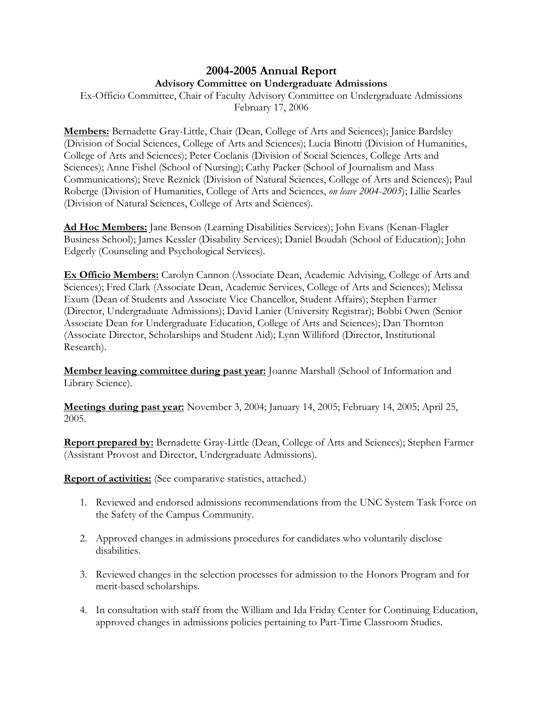## **2004-2005 Annual Report Advisory Committee on Undergraduate Admissions**

Ex-Officio Committee, Chair of Faculty Advisory Committee on Undergraduate Admissions February 17, 2006

**Members:** Bernadette Gray-Little, Chair (Dean, College of Arts and Sciences); Janice Bardsley (Division of Social Sciences, College of Arts and Sciences); Lucia Binotti (Division of Humanities, College of Arts and Sciences); Peter Coclanis (Division of Social Sciences, College Arts and Sciences); Anne Fishel (School of Nursing); Cathy Packer (School of Journalism and Mass Communications); Steve Reznick (Division of Natural Sciences, College of Arts and Sciences); Paul Roberge (Division of Humanities, College of Arts and Sciences, *on leave 2004-2005*); Lillie Searles (Division of Natural Sciences, College of Arts and Sciences).

**Ad Hoc Members:** Jane Benson (Learning Disabilities Services); John Evans (Kenan-Flagler Business School); James Kessler (Disability Services); Daniel Boudah (School of Education); John Edgerly (Counseling and Psychological Services).

**Ex Officio Members:** Carolyn Cannon (Associate Dean, Academic Advising, College of Arts and Sciences); Fred Clark (Associate Dean, Academic Services, College of Arts and Sciences); Melissa Exum (Dean of Students and Associate Vice Chancellor, Student Affairs); Stephen Farmer (Director, Undergraduate Admissions); David Lanier (University Registrar); Bobbi Owen (Senior Associate Dean for Undergraduate Education, College of Arts and Sciences); Dan Thornton (Associate Director, Scholarships and Student Aid); Lynn Williford (Director, Institutional Research).

**Member leaving committee during past year:** Joanne Marshall (School of Information and Library Science).

**Meetings during past year:** November 3, 2004; January 14, 2005; February 14, 2005; April 25, 2005.

**Report prepared by:** Bernadette Gray-Little (Dean, College of Arts and Sciences); Stephen Farmer (Assistant Provost and Director, Undergraduate Admissions).

**Report of activities:** (See comparative statistics, attached.)

- 1. Reviewed and endorsed admissions recommendations from the UNC System Task Force on the Safety of the Campus Community.
- 2. Approved changes in admissions procedures for candidates who voluntarily disclose disabilities.
- 3. Reviewed changes in the selection processes for admission to the Honors Program and for merit-based scholarships.
- 4. In consultation with staff from the William and Ida Friday Center for Continuing Education, approved changes in admissions policies pertaining to Part-Time Classroom Studies.